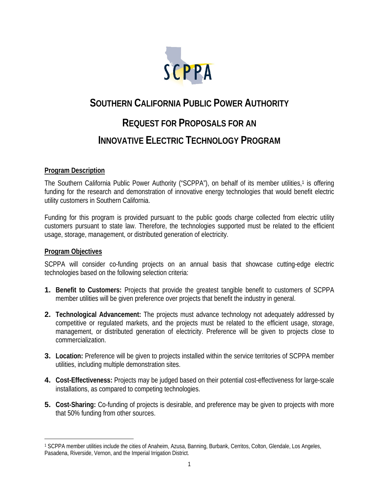

# **SOUTHERN CALIFORNIA PUBLIC POWER AUTHORITY REQUEST FOR PROPOSALS FOR AN INNOVATIVE ELECTRIC TECHNOLOGY PROGRAM**

#### **Program Description**

The Southern California Public Power Authority ("SCPPA"), on behalf of its member utilities,<sup>1</sup> is offering funding for the research and demonstration of innovative energy technologies that would benefit electric utility customers in Southern California.

Funding for this program is provided pursuant to the public goods charge collected from electric utility customers pursuant to state law. Therefore, the technologies supported must be related to the efficient usage, storage, management, or distributed generation of electricity.

#### **Program Objectives**

SCPPA will consider co-funding projects on an annual basis that showcase cutting-edge electric technologies based on the following selection criteria:

- **1. Benefit to Customers:** Projects that provide the greatest tangible benefit to customers of SCPPA member utilities will be given preference over projects that benefit the industry in general.
- **2. Technological Advancement:** The projects must advance technology not adequately addressed by competitive or regulated markets, and the projects must be related to the efficient usage, storage, management, or distributed generation of electricity. Preference will be given to projects close to commercialization.
- **3. Location:** Preference will be given to projects installed within the service territories of SCPPA member utilities, including multiple demonstration sites.
- **4. Cost-Effectiveness:** Projects may be judged based on their potential cost-effectiveness for large-scale installations, as compared to competing technologies.
- **5. Cost-Sharing:** Co-funding of projects is desirable, and preference may be given to projects with more that 50% funding from other sources.

 $\overline{a}$ 1 SCPPA member utilities include the cities of Anaheim, Azusa, Banning, Burbank, Cerritos, Colton, Glendale, Los Angeles, Pasadena, Riverside, Vernon, and the Imperial Irrigation District.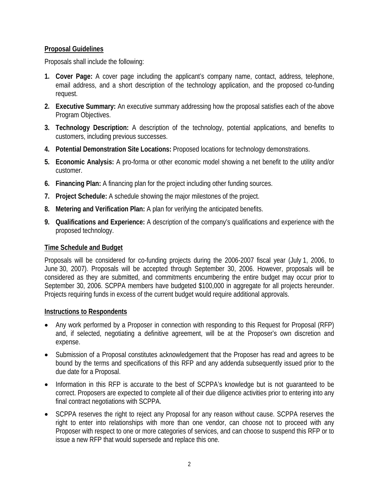### **Proposal Guidelines**

Proposals shall include the following:

- **1. Cover Page:** A cover page including the applicant's company name, contact, address, telephone, email address, and a short description of the technology application, and the proposed co-funding request.
- **2. Executive Summary:** An executive summary addressing how the proposal satisfies each of the above Program Objectives.
- **3. Technology Description:** A description of the technology, potential applications, and benefits to customers, including previous successes.
- **4. Potential Demonstration Site Locations:** Proposed locations for technology demonstrations.
- **5. Economic Analysis:** A pro-forma or other economic model showing a net benefit to the utility and/or customer.
- **6. Financing Plan:** A financing plan for the project including other funding sources.
- **7. Project Schedule:** A schedule showing the major milestones of the project.
- **8. Metering and Verification Plan:** A plan for verifying the anticipated benefits.
- **9. Qualifications and Experience:** A description of the company's qualifications and experience with the proposed technology.

## **Time Schedule and Budget**

Proposals will be considered for co-funding projects during the 2006-2007 fiscal year (July 1, 2006, to June 30, 2007). Proposals will be accepted through September 30, 2006. However, proposals will be considered as they are submitted, and commitments encumbering the entire budget may occur prior to September 30, 2006. SCPPA members have budgeted \$100,000 in aggregate for all projects hereunder. Projects requiring funds in excess of the current budget would require additional approvals.

## **Instructions to Respondents**

- Any work performed by a Proposer in connection with responding to this Request for Proposal (RFP) and, if selected, negotiating a definitive agreement, will be at the Proposer's own discretion and expense.
- Submission of a Proposal constitutes acknowledgement that the Proposer has read and agrees to be bound by the terms and specifications of this RFP and any addenda subsequently issued prior to the due date for a Proposal.
- Information in this RFP is accurate to the best of SCPPA's knowledge but is not guaranteed to be correct. Proposers are expected to complete all of their due diligence activities prior to entering into any final contract negotiations with SCPPA.
- SCPPA reserves the right to reject any Proposal for any reason without cause. SCPPA reserves the right to enter into relationships with more than one vendor, can choose not to proceed with any Proposer with respect to one or more categories of services, and can choose to suspend this RFP or to issue a new RFP that would supersede and replace this one.